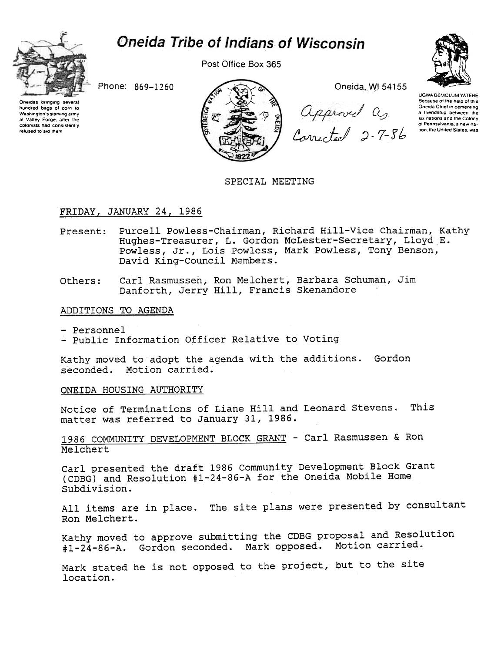# **Oneida Tribe of Indians of Wisconsin**



Post Office Box 365



Phone: 869-1260

Oneidas bringing several hundred bags of corn to Washington's starving army at Valley Forge, after the colonists had consistently refused to aid them



Oneida, WJ 54155

approved as

UGWA DEMOLUM YATEHE Because of the help of this Oneida Chief in cementing a friendship between the six nations and the Colony of Pennsylvania, a new nation, the United States, was

# SPECIAL MEETING

## FRIDAY, JANUARY 24, 1986

- Present: Purcell Powless-Chairman, Richard Hill-Vice Chairman, Kathy Hughes-Treasurer, L. Gordon McLester-Secretary, Lloyd E. Powless, Jr., Lois Powless, Mark Powless, Tony Benson, David King-Council Members.
- Carl Rasmussen, Ron Melchert, Barbara Schuman, Jim Others: Danforth, Jerry Hill, Francis Skenandore

## ADDITIONS TO AGENDA

- Personnel
- Public Information Officer Relative to Voting

Kathy moved to adopt the agenda with the additions. Gordon seconded. Motion carried.

## ONEIDA HOUSING AUTHORITY

Notice of Terminations of Liane Hill and Leonard Stevens. This matter was referred to January 31, 1986.

1986 COMMUNITY DEVELOPMENT BLOCK GRANT - Carl Rasmussen & Ron Melchert

Carl presented the draft 1986 Community Development Block Grant (CDBG) and Resolution #1-24-86-A for the Oneida Mobile Home Subdivision.

All items are in place. The site plans were presented by consultant Ron Melchert.

Kathy moved to approve submitting the CDBG proposal and Resolution #1-24-86-A. Gordon seconded. Mark opposed. Motion carried.

Mark stated he is not opposed to the project, but to the site location.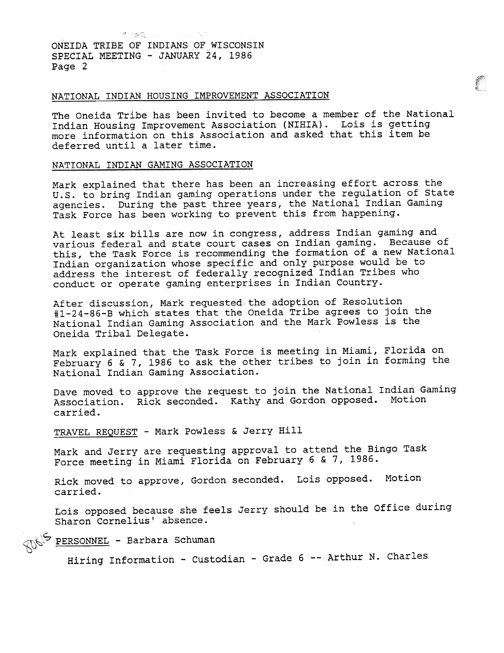ONEIDA TRIBE OF INDIANS OF WISCONSIN SPECIAL MEETING -JANUARY 24, 1986 Page 2

. <del>१९६६ - १९६६ - १९६६ - १९६६ - १९६६ - १९६६ - १९६६ - १९६६ - १९६६ - १९६६ - १९६६ - १९६६ - १९६६ - १९६६ - १९६६ - १९</u></del>

## NATIONAL INDIAN HOUSING IMPROVEMENT ASSOCIATION

The Oneida Tribe has been invited to become a member of the National Indian Housing Improvement Association (NIHIA). Lois is getting more information on this Association and asked that this item be deferred until a later time.

## NATIONAL INDIAN GAMING ASSOCIATION

Mark explained that there has been an increasing effort across the U.S. to bring Indian gaming operations under the regulation of State agencies. During the past three years, the National Indian Gaming Task Force has been working to prevent this from happening.

At least six bills are now in congress, address Indian gaming and various federal and state court cases on Indian gaming. Because of this, the Task Force is recommending the formation of a new National Indian organization whose specific and only purpose would be to address the interest of federally recognized Indian Tribes who conduct or operate gaming enterprises in Indian Country.

After discussion, Mark requested. the adoption of Resolution #1-24-86-B which states that the Oneida Tribe agrees to join the National Indian Gaming Association and the Mark Powless is the Oneida Tribal Delegate.

Mark explained that the Task Force is meeting in Miami, Florida on February 6 & 7, 1986 to ask the other tribes to join in forming the National Indian Gaming Association.

Dave moved to approve the request to join the National Indian Gaming Association. Rick seconded. Kathy and Gordon opposed. Motion carried.

TRAVEL REQUEST - Mark Powless & Jerry Hill

Mark and Jerry are requesting approval to attend the Bingo Task Force meeting in Miami Florida on February 6 & 7, 1986.

Rick moved to approve, Gordon seconded. Lois opposed. Motion carried.

Lois opposed because she feels Jerry should be in the Office during Sharon Cornelius' absence.

<sup>7</sup> PERSONNEL - Barbara Schuman

Hiring Information - Custodian - Grade 6 -- Arthur N. Charles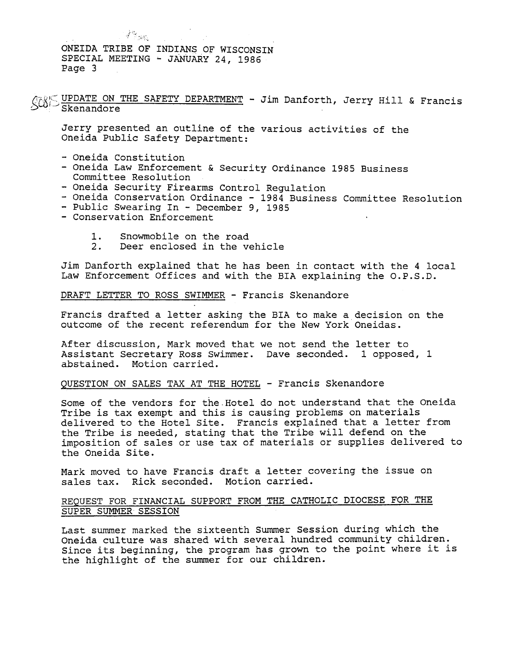$\mathcal{F}^{\mathcal{G}}(\mathbf{x},t)$ ONEIDA TRIBE OF INDIANS OF WISCONSIN SPECIAL MEETING -JANUARY 24, 1986 Page 3

(U) UPDATE ON THE SAFETY DEPARTMENT - Jim Danforth, Jerry Hill & Fran

Jerry presented an outline of the various activities of the Oneida Public Safety Department:

- -Oneida Constitution
- Oneida Law Enforcement & Security Ordinance 1985 Business Committee Resolution
- Oneida Security Firearms Control Regulation
- Oneida Conservation Ordinance 1984 Business Committee Resolution
- Public Swearing In December 9, 1985
- -Conservation Enforcement
	- 1. Snowmobile on the road
	- 2. Deer enclosed in the vehicle

Jim Danforth explained that he has been in contact with the 4 local Law Enforcement Offices and with the BrA explaining the O.P.S.D.

DRAFT LETTER TO ROSS SWIMMER - Francis Skenandore

Francis drafted a letter asking the BIA to make a decision on the outcome of the recent referendum for the New York Oneidas.

After discussion, Mark moved that we not send the letter to Assistant Secretary Ross Swimmer. Dave seconded. 1 opposed, 1 abstained. Motion carried.

## QUESTION ON SALES TAX AT THE HOTEL - Francis Skenandore

Some of the vendors for the.Hotel do not understand that the oneida Tribe is tax exempt and this is causing problems on materials delivered to the Hotel Site. Francis explained that a letter from the Tribe is needed, stating that the Tribe will defend on the imposition of sales or use tax of materials or supplies delivered to the Oneida Site.

Mark moved to have Francis draft a letter covering the issue on sales tax. Rick seconded. Motion carried.

## REQUEST FOR FINANCIAL SUPPORT FROM THE CATHOLIC DIOCESE FOR THE SUPER SUMMER SESSION

Last summer marked the sixteenth Summer Session during which the Oneida culture was shared with several hundred community children. Since its beginning, the program has grown to the point where it is the highlight of the summer for our children.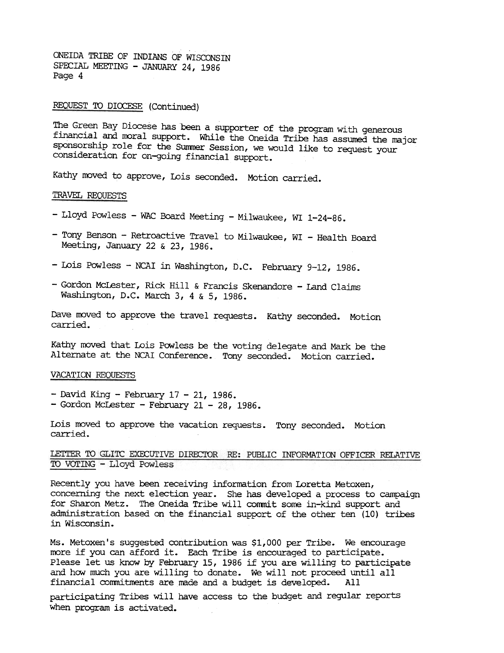ONEIDA TRIBE OF INDIANS OF WISCONSIN SPECIAL MEETING - JANUARY 24, 1986 Page 4

## REQUEST TO DIOCESE (Continued)

The Green Bay Diocese has been a supporter of the program with generous financial and moral support. While the Oneida Tribe has assumed the major sponsorship role for the Summer Session, we would like to request your consideration for on-going financial support.

Kathy moved to approve, Lois seconded. Motion carried.

#### TRAVEL REQUESTS

- Lloyd Powless WAC Board Meeting Milwaukee, WI 1-24-86.
- Tony Benson Retroactive Travel to Milwaukee, WI Health Board Meeting, January 22 & 23, 1986.
- Lois Powless NCAI in Washington, D.C. February 9-12, 1986.
- Gordon McLester, Rick Hill & Francis Skenandore Land Claims Washington, D.C. March 3, 4 & 5, 1986.

Dave moved to approve the travel requests. Kathy seconded. Motion carried.

Kathy moved that Lois Powless be the voting delegate and Mark be the Alternate at the NCAI Conference. Tony seconded. Motion carried.

#### VACATION REQUESTS

- $-$  David King  $-$  February 17  $-$  21, 1986.
- $-$  Gordon McLester February 21 28, 1986.

Lois moved to approve the vacation requests. Tony seconded. Motion carried.

LETTER TO GLITC EXECUTIVE DIRECTOR RE: PUBLIC INFORMATION OFFICER RELATIVE TO VOTING - Lloyd Powless

Recently you have been receiving information from Loretta Metoxen, concerning the next election year. She has developed a process to campaign for Sharon Metz. The Oneida Tribe will conmit some in-kind support and administration based on the financial support of the other ten (10) tribes in Wisconsin.

Ms. Metoxen's suggested contribution was \$1,000 per Tribe. We encourage more if you can afford it. Each Tribe is encouraged to participate. Please let us know by February 15, 1986 if you are willing to participate and how much you are willing to donate. We will not proceed until all financial commitments are made and a budget is developed. All

participating Tribes will have access to the budget and regular reports when program is activated.